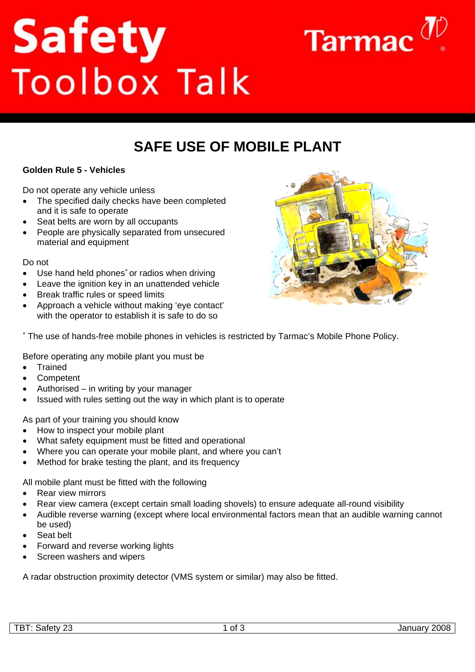# **Safety**<br>Toolbox Talk



# **SAFF USE OF MOBILE PLANT**

## **Golden Rule 5 - Vehicles**

Do not operate any vehicle unless

- The specified daily checks have been completed and it is safe to operate
- Seat belts are worn by all occupants
- People are physically separated from unsecured material and equipment

### Do not

- Use hand held phones<sup>\*</sup> or radios when driving
- Leave the ignition key in an unattended vehicle
- Break traffic rules or speed limits
- Approach a vehicle without making 'eye contact' with the operator to establish it is safe to do so



∗ The use of hands-free mobile phones in vehicles is restricted by Tarmac's Mobile Phone Policy.

Before operating any mobile plant you must be

- Trained
- **Competent**
- Authorised in writing by your manager
- Issued with rules setting out the way in which plant is to operate

As part of your training you should know

- How to inspect your mobile plant
- What safety equipment must be fitted and operational
- Where you can operate your mobile plant, and where you can't
- Method for brake testing the plant, and its frequency

All mobile plant must be fitted with the following

- Rear view mirrors
- Rear view camera (except certain small loading shovels) to ensure adequate all-round visibility
- Audible reverse warning (except where local environmental factors mean that an audible warning cannot be used)
- Seat belt
- Forward and reverse working lights
- Screen washers and wipers

A radar obstruction proximity detector (VMS system or similar) may also be fitted.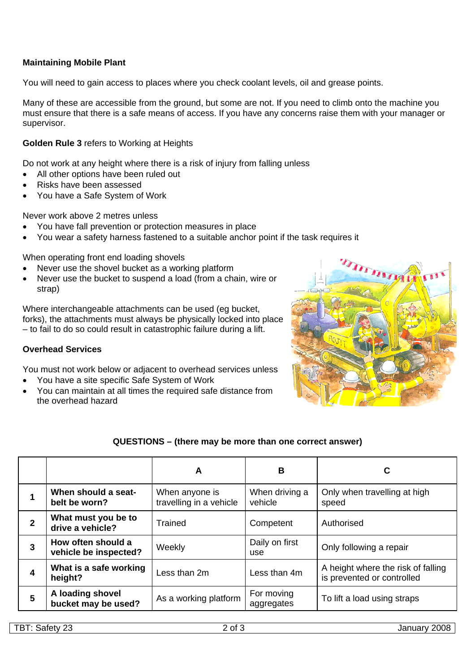### **Maintaining Mobile Plant**

You will need to gain access to places where you check coolant levels, oil and grease points.

Many of these are accessible from the ground, but some are not. If you need to climb onto the machine you must ensure that there is a safe means of access. If you have any concerns raise them with your manager or supervisor.

### **Golden Rule 3** refers to Working at Heights

Do not work at any height where there is a risk of injury from falling unless

- All other options have been ruled out
- Risks have been assessed
- You have a Safe System of Work

Never work above 2 metres unless

- You have fall prevention or protection measures in place
- You wear a safety harness fastened to a suitable anchor point if the task requires it

When operating front end loading shovels

- Never use the shovel bucket as a working platform
- Never use the bucket to suspend a load (from a chain, wire or strap)

Where interchangeable attachments can be used (eg bucket, forks), the attachments must always be physically locked into place – to fail to do so could result in catastrophic failure during a lift.

### **Overhead Services**

You must not work below or adjacent to overhead services unless

- You have a site specific Safe System of Work
- You can maintain at all times the required safe distance from the overhead hazard



### **QUESTIONS – (there may be more than one correct answer)**

|              |                                             | A                                         | B                         | C                                                                |
|--------------|---------------------------------------------|-------------------------------------------|---------------------------|------------------------------------------------------------------|
|              | When should a seat-<br>belt be worn?        | When anyone is<br>travelling in a vehicle | When driving a<br>vehicle | Only when travelling at high<br>speed                            |
| $\mathbf{2}$ | What must you be to<br>drive a vehicle?     | Trained                                   | Competent                 | Authorised                                                       |
| 3            | How often should a<br>vehicle be inspected? | Weekly                                    | Daily on first<br>use     | Only following a repair                                          |
| 4            | What is a safe working<br>height?           | Less than 2m                              | Less than 4m              | A height where the risk of falling<br>is prevented or controlled |
| 5            | A loading shovel<br>bucket may be used?     | As a working platform                     | For moving<br>aggregates  | To lift a load using straps                                      |